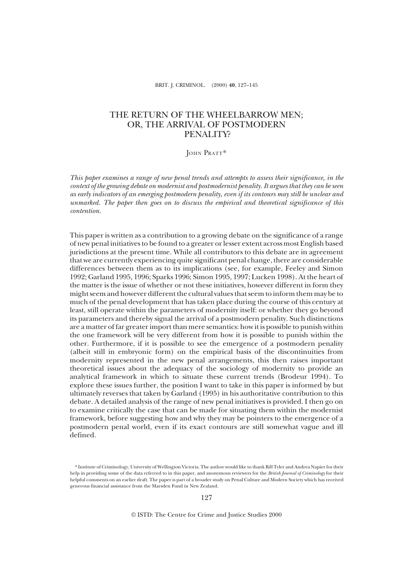# THE RETURN OF THE WHEELBARROW MEN; OR, THE ARRIVAL OF POSTMODERN PENALITY?

## JOHN PRATT\*

*This paper examines a range of new penal trends and attempts to assess their significance, in the context of the growing debate on modernist and postmodernist penality. It argues that they can be seen as early indicators of an emerging postmodern penality, even if its contours may still be unclear and unmarked. The paper then goes on to discuss the empirical and theoretical significance of this contention.*

This paper is written as a contribution to a growing debate on the significance of a range of new penal initiatives to be found to a greater or lesser extent across most English based jurisdictions at the present time. While all contributors to this debate are in agreement that we are currently experiencing quite significant penal change, there are considerable differences between them as to its implications (see, for example, Feeley and Simon 1992; Garland 1995, 1996; Sparks 1996; Simon 1995, 1997; Lucken 1998). At the heart of the matter is the issue of whether or not these initiatives, however different in form they might seem and however different the cultural values that seem to inform them may be to much of the penal development that has taken place during the course of this century at least, still operate within the parameters of modernity itself: or whether they go beyond its parameters and thereby signal the arrival of a postmodern penality. Such distinctions are a matter of far greater import than mere semantics: how it is possible to punish within the one framework will be very different from how it is possible to punish within the other. Furthermore, if it is possible to see the emergence of a postmodern penality (albeit still in embryonic form) on the empirical basis of the discontinuities from modernity represented in the new penal arrangements, this then raises important theoretical issues about the adequacy of the sociology of modernity to provide an analytical framework in which to situate these current trends (Brodeur 1994). To explore these issues further, the position I want to take in this paper is informed by but ultimately reverses that taken by Garland (1995) in his authoritative contribution to this debate. A detailed analysis of the range of new penal initiatives is provided. I then go on to examine critically the case that can be made for situating them within the modernist framework, before suggesting how and why they may be pointers to the emergence of a postmodern penal world, even if its exact contours are still somewhat vague and ill defined.

© ISTD: The Centre for Crime and Justice Studies 2000

<sup>\*</sup> Institute of Criminology, University of Wellington Victoria. The author would like to thank Bill Tyler and Andrea Napier for their help in providing some of the data referred to in this paper, and anonymous reviewers for the *British Journal of Criminology* for their helpful comments on an earlier draft. The paper is part of a broader study on Penal Culture and Modern Society which has received generous financial assistance from the Marsden Fund in New Zealand.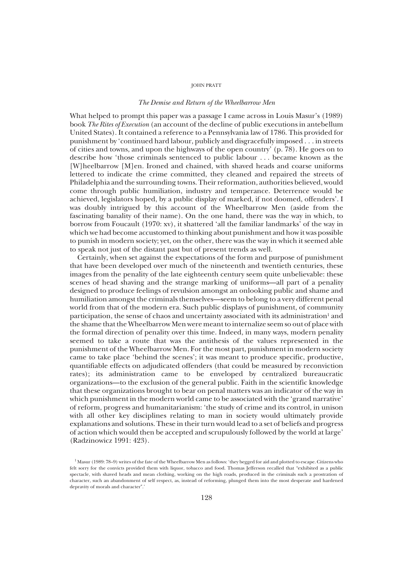## *The Demise and Return of the Wheelbarrow Men*

What helped to prompt this paper was a passage I came across in Louis Masur's (1989) book *The Rites of Execution* (an account of the decline of public executions in antebellum United States). It contained a reference to a Pennsylvania law of 1786. This provided for punishment by 'continued hard labour, publicly and disgracefully imposed . . . in streets of cities and towns, and upon the highways of the open country' (p. 78). He goes on to describe how 'those criminals sentenced to public labour . . . became known as the [W]heelbarrow [M]en. Ironed and chained, with shaved heads and coarse uniforms lettered to indicate the crime committed, they cleaned and repaired the streets of Philadelphia and the surrounding towns. Their reformation, authorities believed, would come through public humiliation, industry and temperance. Deterrence would be achieved, legislators hoped, by a public display of marked, if not doomed, offenders'. I was doubly intrigued by this account of the Wheelbarrow Men (aside from the fascinating banality of their name). On the one hand, there was the way in which, to borrow from Foucault (1970: xv), it shattered 'all the familiar landmarks' of the way in which we had become accustomed to thinking about punishment and how it was possible to punish in modern society; yet, on the other, there was the way in which it seemed able to speak not just of the distant past but of present trends as well.

Certainly, when set against the expectations of the form and purpose of punishment that have been developed over much of the nineteenth and twentieth centuries, these images from the penality of the late eighteenth century seem quite unbelievable: these scenes of head shaving and the strange marking of uniforms—all part of a penality designed to produce feelings of revulsion amongst an onlooking public and shame and humiliation amongst the criminals themselves—seem to belong to a very different penal world from that of the modern era. Such public displays of punishment, of community participation, the sense of chaos and uncertainty associated with its administration<sup>1</sup> and the shame that the Wheelbarrow Men were meant to internalize seem so out of place with the formal direction of penality over this time. Indeed, in many ways, modern penality seemed to take a route that was the antithesis of the values represented in the punishment of the Wheelbarrow Men. For the most part, punishment in modern society came to take place 'behind the scenes'; it was meant to produce specific, productive, quantifiable effects on adjudicated offenders (that could be measured by reconviction rates); its administration came to be enveloped by centralized bureaucratic organizations—to the exclusion of the general public. Faith in the scientific knowledge that these organizations brought to bear on penal matters was an indicator of the way in which punishment in the modern world came to be associated with the 'grand narrative' of reform, progress and humanitarianism: 'the study of crime and its control, in unison with all other key disciplines relating to man in society would ultimately provide explanations and solutions. These in their turn would lead to a set of beliefs and progress of action which would then be accepted and scrupulously followed by the world at large' (Radzinowicz 1991: 423).

<sup>1</sup> Masur (1989: 78–9) writes of the fate of the Wheelbarrow Men as follows: 'they begged for aid and plotted to escape. Citizens who felt sorry for the convicts provided them with liquor, tobacco and food. Thomas Jefferson recalled that "exhibited as a public spectacle, with shaved heads and mean clothing, working on the high roads, produced in the criminals such a prostration of character, such an abandonment of self respect, as, instead of reforming, plunged them into the most desperate and hardened depravity of morals and character".'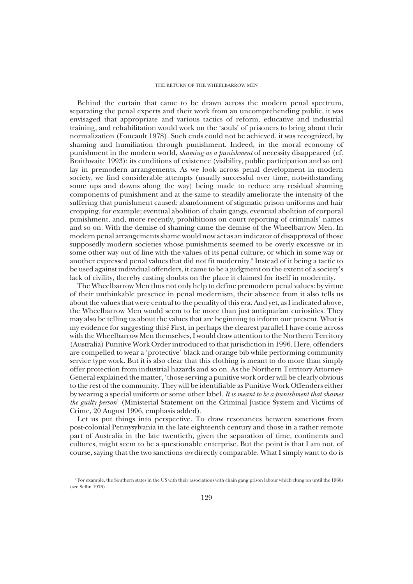Behind the curtain that came to be drawn across the modern penal spectrum, separating the penal experts and their work from an uncomprehending public, it was envisaged that appropriate and various tactics of reform, educative and industrial training, and rehabilitation would work on the 'souls' of prisoners to bring about their normalization (Foucault 1978). Such ends could not be achieved, it was recognized, by shaming and humiliation through punishment. Indeed, in the moral economy of punishment in the modern world, *shaming as a punishment* of necessity disappeared (cf. Braithwaite 1993): its conditions of existence (visibility, public participation and so on) lay in premodern arrangements. As we look across penal development in modern society, we find considerable attempts (usually successful over time, notwithstanding some ups and downs along the way) being made to reduce any residual shaming components of punishment and at the same to steadily ameliorate the intensity of the suffering that punishment caused: abandonment of stigmatic prison uniforms and hair cropping, for example; eventual abolition of chain gangs, eventual abolition of corporal punishment, and, more recently, prohibitions on court reporting of criminals' names and so on. With the demise of shaming came the demise of the Wheelbarrow Men. In modern penal arrangements shame would now act as an indicator of disapproval of those supposedly modern societies whose punishments seemed to be overly excessive or in some other way out of line with the values of its penal culture, or which in some way or another expressed penal values that did not fit modernity.2 Instead of it being a tactic to be used against individual offenders, it came to be a judgment on the extent of a society's lack of civility, thereby casting doubts on the place it claimed for itself in modernity.

The Wheelbarrow Men thus not only help to define premodern penal values: by virtue of their unthinkable presence in penal modernism, their absence from it also tells us about the values that were central to the penality of this era. And yet, as I indicated above, the Wheelbarrow Men would seem to be more than just antiquarian curiosities. They may also be telling us about the values that are beginning to inform our present. What is my evidence for suggesting this? First, in perhaps the clearest parallel I have come across with the Wheelbarrow Men themselves, I would draw attention to the Northern Territory (Australia) Punitive Work Order introduced to that jurisdiction in 1996. Here, offenders are compelled to wear a 'protective' black and orange bib while performing community service type work. But it is also clear that this clothing is meant to do more than simply offer protection from industrial hazards and so on. As the Northern Territory Attorney-General explained the matter, 'those serving a punitive work order will be clearly obvious to the rest of the community. They will be identifiable as Punitive Work Offenders either by wearing a special uniform or some other label. *It is meant to be a punishment that shames the guilty person*' (Ministerial Statement on the Criminal Justice System and Victims of Crime, 20 August 1996, emphasis added).

Let us put things into perspective. To draw resonances between sanctions from post-colonial Pennysylvania in the late eighteenth century and those in a rather remote part of Australia in the late twentieth, given the separation of time, continents and cultures, might seem to be a questionable enterprise. But the point is that I am not, of course, saying that the two sanctions *are* directly comparable. What I simply want to do is

<sup>&</sup>lt;sup>2</sup> For example, the Southern states in the US with their associations with chain gang prison labour which clung on until the 1960s (see Sellin 1976).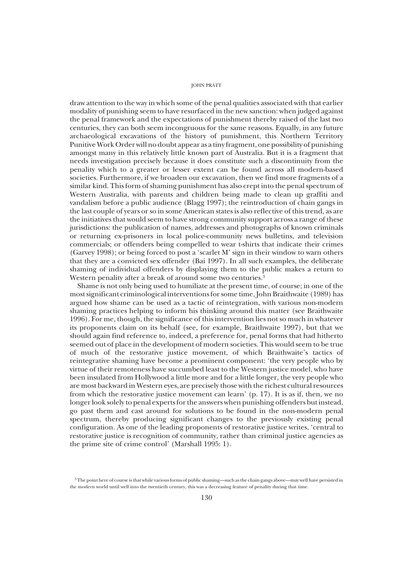draw attention to the way in which some of the penal qualities associated with that earlier modality of punishing seem to have resurfaced in the new sanction: when judged against the penal framework and the expectations of punishment thereby raised of the last two centuries, they can both seem incongruous for the same reasons. Equally, in any future archaeological excavations of the history of punishment, this Northern Territory Punitive Work Order will no doubt appear as a tiny fragment, one possibility of punishing amongst many in this relatively little known part of Australia. But it is a fragment that needs investigation precisely because it does constitute such a discontinuity from the penality which to a greater or lesser extent can be found across all modern-based societies. Furthermore, if we broaden our excavation, then we find more fragments of a similar kind. This form of shaming punishment has also crept into the penal spectrum of Western Australia, with parents and children being made to clean up graffiti and vandalism before a public audience (Blagg 1997); the reintroduction of chain gangs in the last couple of years or so in some American states is also reflective of this trend, as are the initiatives that would seem to have strong community support across a range of these jurisdictions: the publication of names, addresses and photographs of known criminals or returning ex-prisoners in local police-community news bulletins, and television commercials; or offenders being compelled to wear t-shirts that indicate their crimes (Garvey 1998); or being forced to post a 'scarlet M' sign in their window to warn others that they are a convicted sex offender (Bai 1997). In all such examples, the deliberate shaming of individual offenders by displaying them to the public makes a return to Western penality after a break of around some two centuries.<sup>3</sup>

Shame is not only being used to humiliate at the present time, of course; in one of the most significant criminological interventions for some time, John Braithwaite (1989) has argued how shame can be used as a tactic of reintegration, with various non-modern shaming practices helping to inform his thinking around this matter (see Braithwaite 1996). For me, though, the significance of this intervention lies not so much in whatever its proponents claim on its behalf (see, for example, Braithwaite 1997), but that we should again find reference to, indeed, a preference for, penal forms that had hitherto seemed out of place in the development of modern societies. This would seem to be true of much of the restorative justice movement, of which Braithwaite's tactics of reintegrative shaming have become a prominent component: 'the very people who by virtue of their remoteness have succumbed least to the Western justice model, who have been insulated from Hollywood a little more and for a little longer, the very people who are most backward in Western eyes, are precisely those with the richest cultural resources from which the restorative justice movement can learn' (p. 17). It is as if, then, we no longer look solely to penal experts for the answers when punishing offenders but instead, go past them and cast around for solutions to be found in the non-modern penal spectrum, thereby producing significant changes to the previously existing penal configuration. As one of the leading proponents of restorative justice writes, 'central to restorative justice is recognition of community, rather than criminal justice agencies as the prime site of crime control' (Marshall 1995: 1).

<sup>3</sup>The point here of course is that while various forms of public shaming—such as the chain gangs above—may well have persisted in the modern world until well into the twentieth century, this was a decreasing feature of penality during that time.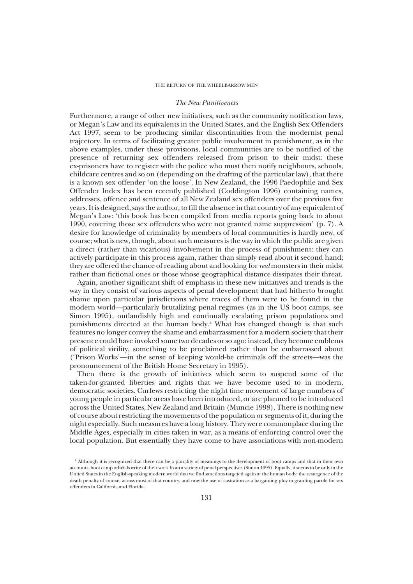#### *The New Punitiveness*

Furthermore, a range of other new initiatives, such as the community notification laws, or Megan's Law and its equivalents in the United States, and the English Sex Offenders Act 1997, seem to be producing similar discontinuities from the modernist penal trajectory. In terms of facilitating greater public involvement in punishment, as in the above examples, under these provisions, local communities are to be notified of the presence of returning sex offenders released from prison to their midst: these ex-prisoners have to register with the police who must then notify neighbours, schools, childcare centres and so on (depending on the drafting of the particular law), that there is a known sex offender 'on the loose'. In New Zealand, the 1996 Paedophile and Sex Offender Index has been recently published (Coddington 1996) containing names, addresses, offence and sentence of all New Zealand sex offenders over the previous five years. It is designed, says the author, to fill the absence in that country of any equivalent of Megan's Law: 'this book has been compiled from media reports going back to about 1990, covering those sex offenders who were not granted name suppression' (p. 7). A desire for knowledge of criminality by members of local communities is hardly new, of course; what is new, though, about such measures is the way in which the public are given a direct (rather than vicarious) involvement in the process of punishment: they can actively participate in this process again, rather than simply read about it second hand; they are offered the chance of reading about and looking for *real* monsters in their midst rather than fictional ones or those whose geographical distance dissipates their threat.

Again, another significant shift of emphasis in these new initiatives and trends is the way in they consist of various aspects of penal development that had hitherto brought shame upon particular jurisdictions where traces of them were to be found in the modern world—particularly brutalizing penal regimes (as in the US boot camps, see Simon 1995), outlandishly high and continually escalating prison populations and punishments directed at the human body.4 What has changed though is that such features no longer convey the shame and embarrassment for a modern society that their presence could have invoked some two decades or so ago: instead, they become emblems of political virility, something to be proclaimed rather than be embarrassed about ('Prison Works'—in the sense of keeping would-be criminals off the streets—was the pronouncement of the British Home Secretary in 1995).

Then there is the growth of initiatives which seem to suspend some of the taken-for-granted liberties and rights that we have become used to in modern, democratic societies. Curfews restricting the night time movement of large numbers of young people in particular areas have been introduced, or are planned to be introduced across the United States, New Zealand and Britain (Muncie 1998). There is nothing new of course about restricting the movements of the population or segments of it, during the night especially. Such measures have a long history. They were commonplace during the Middle Ages, especially in cities taken in war, as a means of enforcing control over the local population. But essentially they have come to have associations with non-modern

<sup>4</sup> Although it is recognized that there can be a plurality of meanings to the development of boot camps and that in their own accounts, boot camp officials write of their work from a variety of penal perspectives (Simon 1995). Equally, it seems to be only in the United States in the English-speaking modern world that we find sanctions targeted again at the human body: the resurgence of the death penalty of course, across most of that country, and now the use of castration as a bargaining ploy in granting parole for sex offenders in California and Florida.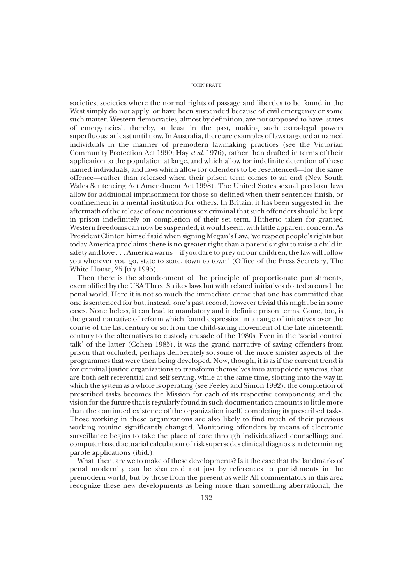societies, societies where the normal rights of passage and liberties to be found in the West simply do not apply, or have been suspended because of civil emergency or some such matter. Western democracies, almost by definition, are not supposed to have 'states of emergencies', thereby, at least in the past, making such extra-legal powers superfluous: at least until now. In Australia, there are examples of laws targeted at named individuals in the manner of premodern lawmaking practices (see the Victorian Community Protection Act 1990; Hay *et al*. 1976), rather than drafted in terms of their application to the population at large, and which allow for indefinite detention of these named individuals; and laws which allow for offenders to be resentenced—for the same offence—rather than released when their prison term comes to an end (New South Wales Sentencing Act Amendment Act 1998). The United States sexual predator laws allow for additional imprisonment for those so defined when their sentences finish, or confinement in a mental institution for others. In Britain, it has been suggested in the aftermath of the release of one notorious sex criminal that such offenders should be kept in prison indefinitely on completion of their set term. Hitherto taken for granted Western freedoms can now be suspended, it would seem, with little apparent concern. As President Clinton himself said when signing Megan's Law, 'we respect people's rights but today America proclaims there is no greater right than a parent's right to raise a child in safety and love . . . America warns—if you dare to prey on our children, the law will follow you wherever you go, state to state, town to town' (Office of the Press Secretary, The White House, 25 July 1995).

Then there is the abandonment of the principle of proportionate punishments, exemplified by the USA Three Strikes laws but with related initiatives dotted around the penal world. Here it is not so much the immediate crime that one has committed that one is sentenced for but, instead, one's past record, however trivial this might be in some cases. Nonetheless, it can lead to mandatory and indefinite prison terms. Gone, too, is the grand narrative of reform which found expression in a range of initiatives over the course of the last century or so: from the child-saving movement of the late nineteenth century to the alternatives to custody crusade of the 1980s. Even in the 'social control talk' of the latter (Cohen 1985), it was the grand narrative of saving offenders from prison that occluded, perhaps deliberately so, some of the more sinister aspects of the programmes that were then being developed. Now, though, it is as if the current trend is for criminal justice organizations to transform themselves into autopoietic systems, that are both self referential and self serving, while at the same time, slotting into the way in which the system as a whole is operating (see Feeley and Simon 1992): the completion of prescribed tasks becomes the Mission for each of its respective components; and the vision for the future that is regularly found in such documentation amounts to little more than the continued existence of the organization itself, completing its prescribed tasks. Those working in these organizations are also likely to find much of their previous working routine significantly changed. Monitoring offenders by means of electronic surveillance begins to take the place of care through individualized counselling; and computer based actuarial calculation of risk supersedes clinical diagnosis in determining parole applications (ibid.).

What, then, are we to make of these developments? Is it the case that the landmarks of penal modernity can be shattered not just by references to punishments in the premodern world, but by those from the present as well? All commentators in this area recognize these new developments as being more than something aberrational, the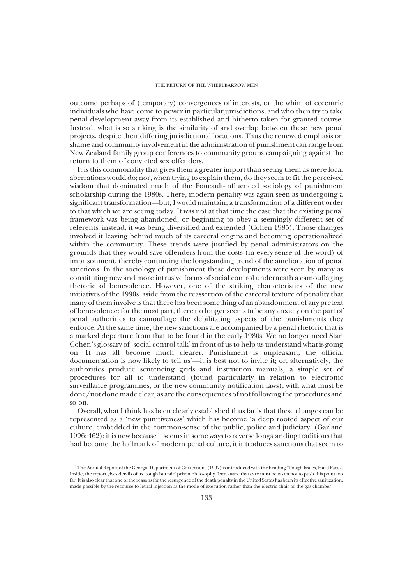outcome perhaps of (temporary) convergences of interests, or the whim of eccentric individuals who have come to power in particular jurisdictions, and who then try to take penal development away from its established and hitherto taken for granted course. Instead, what is so striking is the similarity of and overlap between these new penal projects, despite their differing jurisdictional locations. Thus the renewed emphasis on shame and community involvement in the administration of punishment can range from New Zealand family group conferences to community groups campaigning against the return to them of convicted sex offenders.

It is this commonality that gives them a greater import than seeing them as mere local aberrations would do; nor, when trying to explain them, do they seem to fit the perceived wisdom that dominated much of the Foucault-influenced sociology of punishment scholarship during the 1980s. There, modern penality was again seen as undergoing a significant transformation—but, I would maintain, a transformation of a different order to that which we are seeing today. It was not at that time the case that the existing penal framework was being abandoned, or beginning to obey a seemingly different set of referents: instead, it was being diversified and extended (Cohen 1985). Those changes involved it leaving behind much of its carceral origins and becoming operationalized within the community. These trends were justified by penal administrators on the grounds that they would save offenders from the costs (in every sense of the word) of imprisonment, thereby continuing the longstanding trend of the amelioration of penal sanctions. In the sociology of punishment these developments were seen by many as constituting new and more intrusive forms of social control underneath a camouflaging rhetoric of benevolence. However, one of the striking characteristics of the new initiatives of the 1990s, aside from the reassertion of the carceral texture of penality that many of them involve is that there has been something of an abandonment of any pretext of benevolence: for the most part, there no longer seems to be any anxiety on the part of penal authorities to camouflage the debilitating aspects of the punishments they enforce. At the same time, the new sanctions are accompanied by a penal rhetoric that is a marked departure from that to be found in the early 1980s. We no longer need Stan Cohen's glossary of 'social control talk' in front of us to help us understand what is going on. It has all become much clearer. Punishment is unpleasant, the official documentation is now likely to tell us<sup>5</sup>—it is best not to invite it; or, alternatively, the authorities produce sentencing grids and instruction manuals, a simple set of procedures for all to understand (found particularly in relation to electronic surveillance programmes, or the new community notification laws), with what must be done/not done made clear, as are the consequences of not following the procedures and so on.

Overall, what I think has been clearly established thus far is that these changes can be represented as a 'new punitiveness' which has become 'a deep rooted aspect of our culture, embedded in the common-sense of the public, police and judiciary' (Garland 1996: 462): it is new because it seems in some ways to reverse longstanding traditions that had become the hallmark of modern penal culture, it introduces sanctions that seem to

<sup>5</sup> The Annual Report of the Georgia Department of Corrections (1997) is introduced with the heading 'Tough Issues, Hard Facts'. Inside, the report gives details of its 'tough but fair' prison philosophy. I am aware that care must be taken not to push this point too far. It is also clear that one of the reasons for the resurgence of the death penalty in the United States has been its effective sanitization, made possible by the recourse to lethal injection as the mode of execution rather than the electric chair or the gas chamber.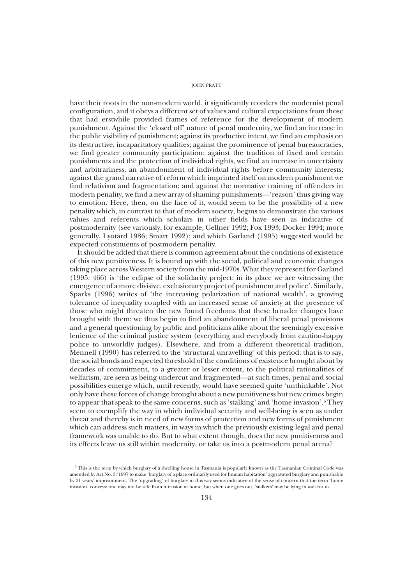have their roots in the non-modern world, it significantly reorders the modernist penal configuration, and it obeys a different set of values and cultural expectations from those that had erstwhile provided frames of reference for the development of modern punishment. Against the 'closed off' nature of penal modernity, we find an increase in the public visibility of punishment; against its productive intent, we find an emphasis on its destructive, incapacitatory qualities; against the prominence of penal bureaucracies, we find greater community participation; against the tradition of fixed and certain punishments and the protection of individual rights, we find an increase in uncertainty and arbitrariness, an abandonment of individual rights before community interests; against the grand narrative of reform which imprinted itself on modern punishment we find relativism and fragmentation; and against the normative training of offenders in modern penality, we find a new array of shaming punishments—'reason' thus giving way to emotion. Here, then, on the face of it, would seem to be the possibility of a new penality which, in contrast to that of modern society, begins to demonstrate the various values and referents which scholars in other fields have seen as indicative of postmodernity (see variously, for example, Gellner 1992; Fox 1993; Docker 1994; more generally, Lyotard 1986; Smart 1992); and which Garland (1995) suggested would be expected constituents of postmodern penality.

It should be added that there is common agreement about the conditions of existence of this new punitiveness. It is bound up with the social, political and economic changes taking place across Western society from the mid-1970s. What they represent for Garland (1995: 466) is 'the eclipse of the solidarity project: in its place we are witnessing the emergence of a more divisive, exclusionary project of punishment and police'. Similarly, Sparks (1996) writes of 'the increasing polarization of national wealth', a growing tolerance of inequality coupled with an increased sense of anxiety at the presence of those who might threaten the new found freedoms that these broader changes have brought with them: we thus begin to find an abandonment of liberal penal provisions and a general questioning by public and politicians alike about the seemingly excessive lenience of the criminal justice system (everything and everybody from caution-happy police to unworldly judges). Elsewhere, and from a different theoretical tradition, Mennell (1990) has referred to the 'structural unravelling' of this period: that is to say, the social bonds and expected threshold of the conditions of existence brought about by decades of commitment, to a greater or lesser extent, to the political rationalities of welfarism, are seen as being undercut and fragmented—at such times, penal and social possibilities emerge which, until recently, would have seemed quite 'unthinkable'. Not only have these forces of change brought about a new punitiveness but new crimes begin to appear that speak to the same concerns, such as 'stalking' and 'home invasion'.6 They seem to exemplify the way in which individual security and well-being is seen as under threat and thereby is in need of new forms of protection and new forms of punishment which can address such matters, in ways in which the previously existing legal and penal framework was unable to do. But to what extent though, does the new punitiveness and its effects leave us still within modernity, or take us into a postmodern penal arena?

<sup>6</sup> This is the term by which burglary of a dwelling house in Tasmania is popularly known as the Tasmanian Criminal Code was amended by Act No. 3/1997 to make 'burglary of a place ordinarily used for human habitation' aggravated burglary and punishable by 21 years' imprisonment. The 'upgrading' of burglary in this way seems indicative of the sense of concern that the term 'home invasion' conveys: one may not be safe from intrusion at home, but when one goes out, 'stalkers' may be lying in wait for us.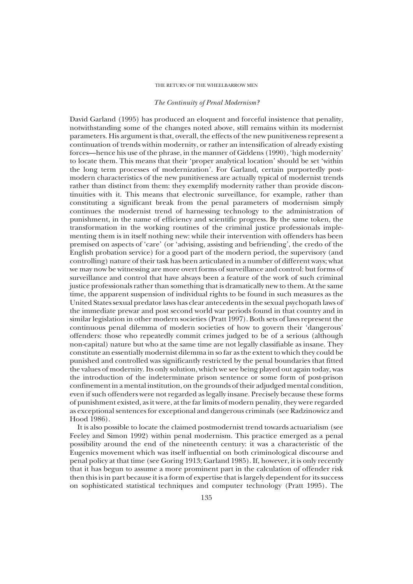### *The Continuity of Penal Modernism?*

David Garland (1995) has produced an eloquent and forceful insistence that penality, notwithstanding some of the changes noted above, still remains within its modernist parameters. His argument is that, overall, the effects of the new punitiveness represent a continuation of trends within modernity, or rather an intensification of already existing forces—hence his use of the phrase, in the manner of Giddens (1990), 'high modernity' to locate them. This means that their 'proper analytical location' should be set 'within the long term processes of modernization'. For Garland, certain purportedly postmodern characteristics of the new punitiveness are actually typical of modernist trends rather than distinct from them: they exemplify modernity rather than provide discontinuities with it. This means that electronic surveillance, for example, rather than constituting a significant break from the penal parameters of modernism simply continues the modernist trend of harnessing technology to the administration of punishment, in the name of efficiency and scientific progress. By the same token, the transformation in the working routines of the criminal justice professionals implementing them is in itself nothing new: while their intervention with offenders has been premised on aspects of 'care' (or 'advising, assisting and befriending', the credo of the English probation service) for a good part of the modern period, the supervisory (and controlling) nature of their task has been articulated in a number of different ways; what we may now be witnessing are more overt forms of surveillance and control: but forms of surveillance and control that have always been a feature of the work of such criminal justice professionals rather than something that is dramatically new to them. At the same time, the apparent suspension of individual rights to be found in such measures as the United States sexual predator laws has clear antecedents in the sexual psychopath laws of the immediate prewar and post second world war periods found in that country and in similar legislation in other modern societies (Pratt 1997). Both sets of laws represent the continuous penal dilemma of modern societies of how to govern their 'dangerous' offenders: those who repeatedly commit crimes judged to be of a serious (although non-capital) nature but who at the same time are not legally classifiable as insane. They constitute an essentially modernist dilemma in so far as the extent to which they could be punished and controlled was significantly restricted by the penal boundaries that fitted the values of modernity. Its only solution, which we see being played out again today, was the introduction of the indeterminate prison sentence or some form of post-prison confinement in a mental institution, on the grounds of their adjudged mental condition, even if such offenders were not regarded as legally insane. Precisely because these forms of punishment existed, as it were, at the far limits of modern penality, they were regarded as exceptional sentences for exceptional and dangerous criminals (see Radzinowicz and Hood 1986).

It is also possible to locate the claimed postmodernist trend towards actuarialism (see Feeley and Simon 1992) within penal modernism. This practice emerged as a penal possibility around the end of the nineteenth century: it was a characteristic of the Eugenics movement which was itself influential on both criminological discourse and penal policy at that time (see Goring 1913; Garland 1985). If, however, it is only recently that it has begun to assume a more prominent part in the calculation of offender risk then this is in part because it is a form of expertise that is largely dependent for its success on sophisticated statistical techniques and computer technology (Pratt 1995). The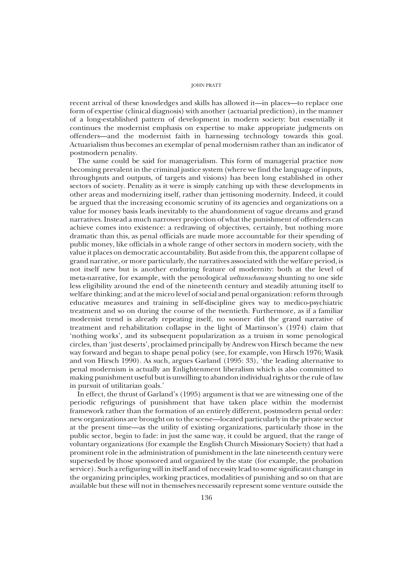recent arrival of these knowledges and skills has allowed it—in places—to replace one form of expertise (clinical diagnosis) with another (actuarial prediction), in the manner of a long-established pattern of development in modern society: but essentially it continues the modernist emphasis on expertise to make appropriate judgments on offenders—and the modernist faith in harnessing technology towards this goal. Actuarialism thus becomes an exemplar of penal modernism rather than an indicator of postmodern penality.

The same could be said for managerialism. This form of managerial practice now becoming prevalent in the criminal justice system (where we find the language of inputs, throughputs and outputs, of targets and visions) has been long established in other sectors of society. Penality as it were is simply catching up with these developments in other areas and modernizing itself, rather than jettisoning modernity. Indeed, it could be argued that the increasing economic scrutiny of its agencies and organizations on a value for money basis leads inevitably to the abandonment of vague dreams and grand narratives. Instead a much narrower projection of what the punishment of offenders can achieve comes into existence: a redrawing of objectives, certainly, but nothing more dramatic than this, as penal officials are made more accountable for their spending of public money, like officials in a whole range of other sectors in modern society, with the value it places on democratic accountability. But aside from this, the apparent collapse of grand narrative, or more particularly, the narratives associated with the welfare period, is not itself new but is another enduring feature of modernity: both at the level of meta-narrative, for example, with the penological *weltanschauung* shunting to one side less eligibility around the end of the nineteenth century and steadily attuning itself to welfare thinking; and at the micro level of social and penal organization: reform through educative measures and training in self-discipline gives way to medico-psychiatric treatment and so on during the course of the twentieth. Furthermore, as if a familiar modernist trend is already repeating itself, no sooner did the grand narrative of treatment and rehabilitation collapse in the light of Martinson's (1974) claim that 'nothing works', and its subsequent popularization as a truism in some penological circles, than 'just deserts', proclaimed principally by Andrew von Hirsch became the new way forward and began to shape penal policy (see, for example, von Hirsch 1976; Wasik and von Hirsch 1990). As such, argues Garland (1995: 33), 'the leading alternative to penal modernism is actually an Enlightenment liberalism which is also committed to making punishment useful but is unwilling to abandon individual rights or the rule of law in pursuit of utilitarian goals.'

In effect, the thrust of Garland's (1995) argument is that we are witnessing one of the periodic refigurings of punishment that have taken place within the modernist framework rather than the formation of an entirely different, postmodern penal order: new organizations are brought on to the scene—located particularly in the private sector at the present time—as the utility of existing organizations, particularly those in the public sector, begin to fade: in just the same way, it could be argued, that the range of voluntary organizations (for example the English Church Missionary Society) that had a prominent role in the administration of punishment in the late nineteenth century were superseded by those sponsored and organized by the state (for example, the probation service). Such a refiguring will in itself and of necessity lead to some significant change in the organizing principles, working practices, modalities of punishing and so on that are available but these will not in themselves necessarily represent some venture outside the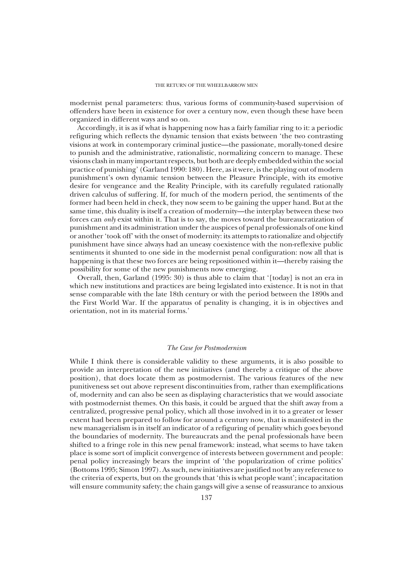modernist penal parameters: thus, various forms of community-based supervision of offenders have been in existence for over a century now, even though these have been organized in different ways and so on.

Accordingly, it is as if what is happening now has a fairly familiar ring to it: a periodic refiguring which reflects the dynamic tension that exists between 'the two contrasting visions at work in contemporary criminal justice—the passionate, morally-toned desire to punish and the administrative, rationalistic, normalizing concern to manage. These visions clash in many important respects, but both are deeply embedded within the social practice of punishing' (Garland 1990: 180). Here, as it were, is the playing out of modern punishment's own dynamic tension between the Pleasure Principle, with its emotive desire for vengeance and the Reality Principle, with its carefully regulated rationally driven calculus of suffering. If, for much of the modern period, the sentiments of the former had been held in check, they now seem to be gaining the upper hand. But at the same time, this duality is itself a creation of modernity—the interplay between these two forces can *only* exist within it. That is to say, the moves toward the bureaucratization of punishment and its administration under the auspices of penal professionals of one kind or another 'took off' with the onset of modernity: its attempts to rationalize and objectify punishment have since always had an uneasy coexistence with the non-reflexive public sentiments it shunted to one side in the modernist penal configuration: now all that is happening is that these two forces are being repositioned within it—thereby raising the possibility for some of the new punishments now emerging.

Overall, then, Garland (1995: 30) is thus able to claim that '[today] is not an era in which new institutions and practices are being legislated into existence. It is not in that sense comparable with the late 18th century or with the period between the 1890s and the First World War. If the apparatus of penality is changing, it is in objectives and orientation, not in its material forms.'

### *The Case for Postmodernism*

While I think there is considerable validity to these arguments, it is also possible to provide an interpretation of the new initiatives (and thereby a critique of the above position), that does locate them as postmodernist. The various features of the new punitiveness set out above represent discontinuities from, rather than exemplifications of, modernity and can also be seen as displaying characteristics that we would associate with postmodernist themes. On this basis, it could be argued that the shift away from a centralized, progressive penal policy, which all those involved in it to a greater or lesser extent had been prepared to follow for around a century now, that is manifested in the new managerialism is in itself an indicator of a refiguring of penality which goes beyond the boundaries of modernity. The bureaucrats and the penal professionals have been shifted to a fringe role in this new penal framework: instead, what seems to have taken place is some sort of implicit convergence of interests between government and people: penal policy increasingly bears the imprint of 'the popularization of crime politics' (Bottoms 1995; Simon 1997). As such, new initiatives are justified not by any reference to the criteria of experts, but on the grounds that 'this is what people want'; incapacitation will ensure community safety; the chain gangs will give a sense of reassurance to anxious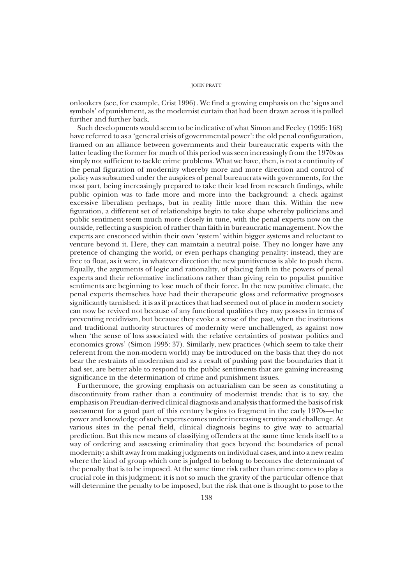onlookers (see, for example, Crist 1996). We find a growing emphasis on the 'signs and symbols' of punishment, as the modernist curtain that had been drawn across it is pulled further and further back.

Such developments would seem to be indicative of what Simon and Feeley (1995: 168) have referred to as a 'general crisis of governmental power': the old penal configuration, framed on an alliance between governments and their bureaucratic experts with the latter leading the former for much of this period was seen increasingly from the 1970s as simply not sufficient to tackle crime problems. What we have, then, is not a continuity of the penal figuration of modernity whereby more and more direction and control of policy was subsumed under the auspices of penal bureaucrats with governments, for the most part, being increasingly prepared to take their lead from research findings, while public opinion was to fade more and more into the background: a check against excessive liberalism perhaps, but in reality little more than this. Within the new figuration, a different set of relationships begin to take shape whereby politicians and public sentiment seem much more closely in tune, with the penal experts now on the outside, reflecting a suspicion of rather than faith in bureaucratic management. Now the experts are ensconced within their own 'system' within bigger systems and reluctant to venture beyond it. Here, they can maintain a neutral poise. They no longer have any pretence of changing the world, or even perhaps changing penality: instead, they are free to float, as it were, in whatever direction the new punitiveness is able to push them. Equally, the arguments of logic and rationality, of placing faith in the powers of penal experts and their reformative inclinations rather than giving rein to populist punitive sentiments are beginning to lose much of their force. In the new punitive climate, the penal experts themselves have had their therapeutic gloss and reformative prognoses significantly tarnished: it is as if practices that had seemed out of place in modern society can now be revived not because of any functional qualities they may possess in terms of preventing recidivism, but because they evoke a sense of the past, when the institutions and traditional authority structures of modernity were unchallenged, as against now when 'the sense of loss associated with the relative certainties of postwar politics and economics grows' (Simon 1995: 37). Similarly, new practices (which seem to take their referent from the non-modern world) may be introduced on the basis that they do not bear the restraints of modernism and as a result of pushing past the boundaries that it had set, are better able to respond to the public sentiments that are gaining increasing significance in the determination of crime and punishment issues.

Furthermore, the growing emphasis on actuarialism can be seen as constituting a discontinuity from rather than a continuity of modernist trends: that is to say, the emphasis on Freudian-derived clinical diagnosis and analysis that formed the basis of risk assessment for a good part of this century begins to fragment in the early 1970s—the power and knowledge of such experts comes under increasing scrutiny and challenge. At various sites in the penal field, clinical diagnosis begins to give way to actuarial prediction. But this new means of classifying offenders at the same time lends itself to a way of ordering and assessing criminality that goes beyond the boundaries of penal modernity: a shift away from making judgments on individual cases, and into a new realm where the kind of group which one is judged to belong to becomes the determinant of the penalty that is to be imposed. At the same time risk rather than crime comes to play a crucial role in this judgment: it is not so much the gravity of the particular offence that will determine the penalty to be imposed, but the risk that one is thought to pose to the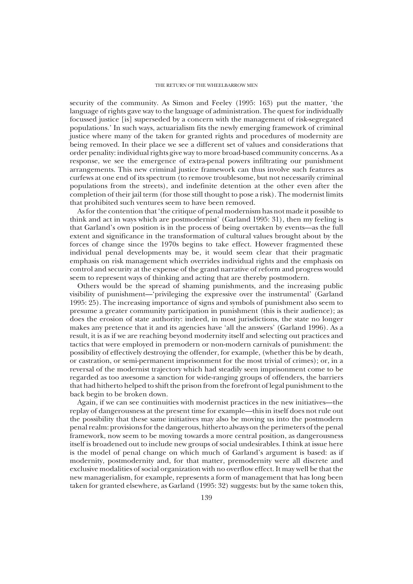security of the community. As Simon and Feeley (1995: 163) put the matter, 'the language of rights gave way to the language of administration. The quest for individually focussed justice [is] superseded by a concern with the management of risk-segregated populations.' In such ways, actuarialism fits the newly emerging framework of criminal justice where many of the taken for granted rights and procedures of modernity are being removed. In their place we see a different set of values and considerations that order penality: individual rights give way to more broad-based community concerns. As a response, we see the emergence of extra-penal powers infiltrating our punishment arrangements. This new criminal justice framework can thus involve such features as curfews at one end of its spectrum (to remove troublesome, but not necessarily criminal populations from the streets), and indefinite detention at the other even after the completion of their jail term (for those still thought to pose a risk). The modernist limits that prohibited such ventures seem to have been removed.

As for the contention that 'the critique of penal modernism has not made it possible to think and act in ways which are postmodernist' (Garland 1995: 31), then my feeling is that Garland's own position is in the process of being overtaken by events—as the full extent and significance in the transformation of cultural values brought about by the forces of change since the 1970s begins to take effect. However fragmented these individual penal developments may be, it would seem clear that their pragmatic emphasis on risk management which overrides individual rights and the emphasis on control and security at the expense of the grand narrative of reform and progress would seem to represent ways of thinking and acting that are thereby postmodern.

Others would be the spread of shaming punishments, and the increasing public visibility of punishment—'privileging the expressive over the instrumental' (Garland 1995: 25). The increasing importance of signs and symbols of punishment also seem to presume a greater community participation in punishment (this is their audience); as does the erosion of state authority: indeed, in most jurisdictions, the state no longer makes any pretence that it and its agencies have 'all the answers' (Garland 1996). As a result, it is as if we are reaching beyond modernity itself and selecting out practices and tactics that were employed in premodern or non-modern carnivals of punishment: the possibility of effectively destroying the offender, for example, (whether this be by death, or castration, or semi-permanent imprisonment for the most trivial of crimes); or, in a reversal of the modernist trajectory which had steadily seen imprisonment come to be regarded as too awesome a sanction for wide-ranging groups of offenders, the barriers that had hitherto helped to shift the prison from the forefront of legal punishment to the back begin to be broken down.

Again, if we can see continuities with modernist practices in the new initiatives—the replay of dangerousness at the present time for example—this in itself does not rule out the possibility that these same initiatives may also be moving us into the postmodern penal realm: provisions for the dangerous, hitherto always on the perimeters of the penal framework, now seem to be moving towards a more central position, as dangerousness itself is broadened out to include new groups of social undesirables. I think at issue here is the model of penal change on which much of Garland's argument is based: as if modernity, postmodernity and, for that matter, premodernity were all discrete and exclusive modalities of social organization with no overflow effect. It may well be that the new managerialism, for example, represents a form of management that has long been taken for granted elsewhere, as Garland (1995: 32) suggests: but by the same token this,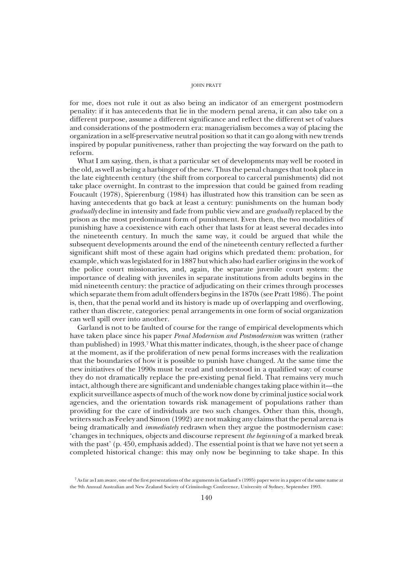for me, does not rule it out as also being an indicator of an emergent postmodern penality: if it has antecedents that lie in the modern penal arena, it can also take on a different purpose, assume a different significance and reflect the different set of values and considerations of the postmodern era: managerialism becomes a way of placing the organization in a self-preservative neutral position so that it can go along with new trends inspired by popular punitiveness, rather than projecting the way forward on the path to reform.

What I am saying, then, is that a particular set of developments may well be rooted in the old, as well as being a harbinger of the new. Thus the penal changes that took place in the late eighteenth century (the shift from corporeal to carceral punishments) did not take place overnight. In contrast to the impression that could be gained from reading Foucault (1978), Spierenburg (1984) has illustrated how this transition can be seen as having antecedents that go back at least a century: punishments on the human body *gradually* decline in intensity and fade from public view and are *gradually* replaced by the prison as the most predominant form of punishment. Even then, the two modalities of punishing have a coexistence with each other that lasts for at least several decades into the nineteenth century. In much the same way, it could be argued that while the subsequent developments around the end of the nineteenth century reflected a further significant shift most of these again had origins which predated them: probation, for example, which was legislated for in 1887 but which also had earlier origins in the work of the police court missionaries, and, again, the separate juvenile court system: the importance of dealing with juveniles in separate institutions from adults begins in the mid nineteenth century: the practice of adjudicating on their crimes through processes which separate them from adult offenders begins in the 1870s (see Pratt 1986). The point is, then, that the penal world and its history is made up of overlapping and overflowing, rather than discrete, categories: penal arrangements in one form of social organization can well spill over into another.

Garland is not to be faulted of course for the range of empirical developments which have taken place since his paper *Penal Modernism and Postmodernism* was written (rather than published) in 1993.7 What this matter indicates, though, is the sheer pace of change at the moment, as if the proliferation of new penal forms increases with the realization that the boundaries of how it is possible to punish have changed. At the same time the new initiatives of the 1990s must be read and understood in a qualified way: of course they do not dramatically replace the pre-existing penal field. That remains very much intact, although there are significant and undeniable changes taking place within it—the explicit surveillance aspects of much of the work now done by criminal justice social work agencies, and the orientation towards risk management of populations rather than providing for the care of individuals are two such changes. Other than this, though, writers such as Feeley and Simon (1992) are not making any claims that the penal arena is being dramatically and *immediately* redrawn when they argue the postmodernism case: 'changes in techniques, objects and discourse represent *the beginning* of a marked break with the past' (p. 450, emphasis added). The essential point is that we have not yet seen a completed historical change: this may only now be beginning to take shape. In this

<sup>7</sup> As far as I am aware, one of the first presentations of the arguments in Garland's (1995) paper were in a paper of the same name at the 9th Annual Australian and New Zealand Society of Criminology Conference, University of Sydney, September 1993.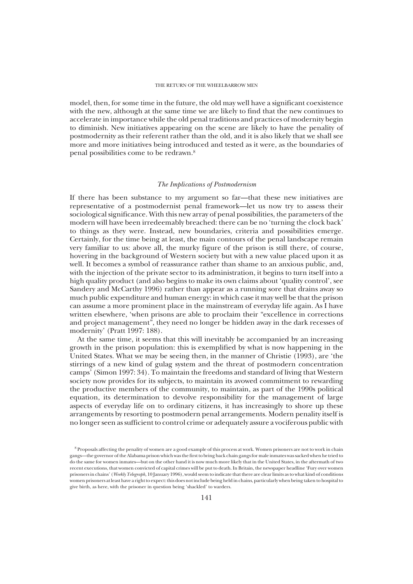model, then, for some time in the future, the old may well have a significant coexistence with the new, although at the same time we are likely to find that the new continues to accelerate in importance while the old penal traditions and practices of modernity begin to diminish. New initiatives appearing on the scene are likely to have the penality of postmodernity as their referent rather than the old, and it is also likely that we shall see more and more initiatives being introduced and tested as it were, as the boundaries of penal possibilities come to be redrawn.8

## *The Implications of Postmodernism*

If there has been substance to my argument so far—that these new initiatives are representative of a postmodernist penal framework—let us now try to assess their sociological significance. With this new array of penal possibilities, the parameters of the modern will have been irredeemably breached: there can be no 'turning the clock back' to things as they were. Instead, new boundaries, criteria and possibilities emerge. Certainly, for the time being at least, the main contours of the penal landscape remain very familiar to us: above all, the murky figure of the prison is still there, of course, hovering in the background of Western society but with a new value placed upon it as well. It becomes a symbol of reassurance rather than shame to an anxious public, and, with the injection of the private sector to its administration, it begins to turn itself into a high quality product (and also begins to make its own claims about 'quality control', see Sandery and McCarthy 1996) rather than appear as a running sore that drains away so much public expenditure and human energy: in which case it may well be that the prison can assume a more prominent place in the mainstream of everyday life again. As I have written elsewhere, 'when prisons are able to proclaim their "excellence in corrections and project management", they need no longer be hidden away in the dark recesses of modernity' (Pratt 1997: 188).

At the same time, it seems that this will inevitably be accompanied by an increasing growth in the prison population: this is exemplified by what is now happening in the United States. What we may be seeing then, in the manner of Christie (1993), are 'the stirrings of a new kind of gulag system and the threat of postmodern concentration camps' (Simon 1997: 34). To maintain the freedoms and standard of living that Western society now provides for its subjects, to maintain its avowed commitment to rewarding the productive members of the community, to maintain, as part of the 1990s political equation, its determination to devolve responsibility for the management of large aspects of everyday life on to ordinary citizens, it has increasingly to shore up these arrangements by resorting to postmodern penal arrangements. Modern penality itself is no longer seen as sufficient to control crime or adequately assure a vociferous public with

<sup>8</sup> Proposals affecting the penality of women are a good example of this process at work. Women prisoners are not to work in chain gangs—the governor of the Alabama prison which was the first to bring back chain gangs for male inmates was sacked when he tried to do the same for women inmates—but on the other hand it is now much more likely that in the United States, in the aftermath of two recent executions, that women convicted of capital crimes will be put to death. In Britain, the newspaper headline 'Fury over women prisoners in chains' (*Weekly Telegraph,* 10 January 1996), would seem to indicate that there are clear limits as to what kind of conditions women prisoners at least have a right to expect: this does not include being held in chains, particularly when being taken to hospital to give birth, as here, with the prisoner in question being 'shackled' to warders.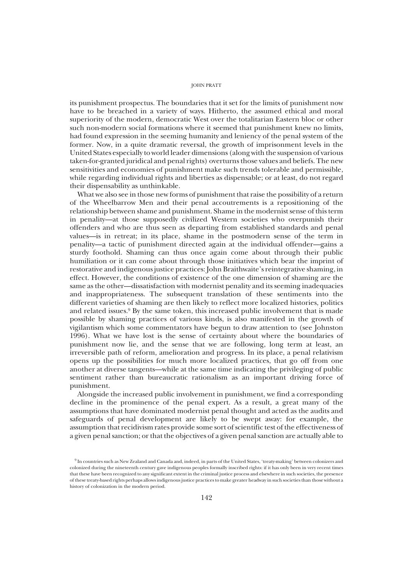its punishment prospectus. The boundaries that it set for the limits of punishment now have to be breached in a variety of ways. Hitherto, the assumed ethical and moral superiority of the modern, democratic West over the totalitarian Eastern bloc or other such non-modern social formations where it seemed that punishment knew no limits, had found expression in the seeming humanity and leniency of the penal system of the former. Now, in a quite dramatic reversal, the growth of imprisonment levels in the United States especially to world leader dimensions (along with the suspension of various taken-for-granted juridical and penal rights) overturns those values and beliefs. The new sensitivities and economies of punishment make such trends tolerable and permissible, while regarding individual rights and liberties as dispensable; or at least, do not regard their dispensability as unthinkable.

What we also see in those new forms of punishment that raise the possibility of a return of the Wheelbarrow Men and their penal accoutrements is a repositioning of the relationship between shame and punishment. Shame in the modernist sense of this term in penality—at those supposedly civilized Western societies who overpunish their offenders and who are thus seen as departing from established standards and penal values—is in retreat; in its place, shame in the postmodern sense of the term in penality—a tactic of punishment directed again at the individual offender—gains a sturdy foothold. Shaming can thus once again come about through their public humiliation or it can come about through those initiatives which bear the imprint of restorative and indigenous justice practices: John Braithwaite's reintegrative shaming, in effect. However, the conditions of existence of the one dimension of shaming are the same as the other—dissatisfaction with modernist penality and its seeming inadequacies and inappropriateness. The subsequent translation of these sentiments into the different varieties of shaming are then likely to reflect more localized histories, politics and related issues.9 By the same token, this increased public involvement that is made possible by shaming practices of various kinds, is also manifested in the growth of vigilantism which some commentators have begun to draw attention to (see Johnston 1996). What we have lost is the sense of certainty about where the boundaries of punishment now lie, and the sense that we are following, long term at least, an irreversible path of reform, amelioration and progress. In its place, a penal relativism opens up the possibilities for much more localized practices, that go off from one another at diverse tangents—while at the same time indicating the privileging of public sentiment rather than bureaucratic rationalism as an important driving force of punishment.

Alongside the increased public involvement in punishment, we find a corresponding decline in the prominence of the penal expert. As a result, a great many of the assumptions that have dominated modernist penal thought and acted as the audits and safeguards of penal development are likely to be swept away: for example, the assumption that recidivism rates provide some sort of scientific test of the effectiveness of a given penal sanction; or that the objectives of a given penal sanction are actually able to

<sup>9</sup> In countries such as New Zealand and Canada and, indeed, in parts of the United States, 'treaty-making' between colonizers and colonized during the nineteenth century gave indigenous peoples formally inscribed rights: if it has only been in very recent times that these have been recognized to any significant extent in the criminal justice process and elsewhere in such societies, the presence of these treaty-based rights perhaps allows indigenous justice practices to make greater headway in such societies than those without a history of colonization in the modern period.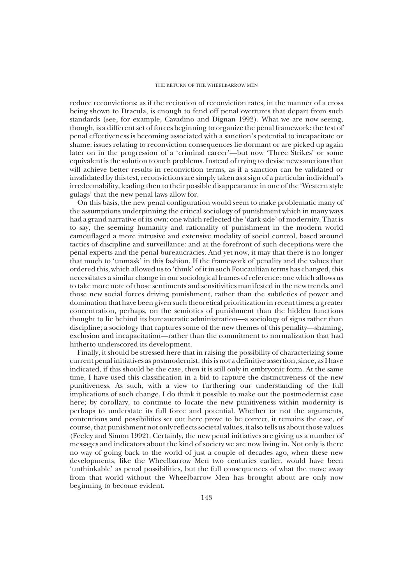reduce reconvictions: as if the recitation of reconviction rates, in the manner of a cross being shown to Dracula, is enough to fend off penal overtures that depart from such standards (see, for example, Cavadino and Dignan 1992). What we are now seeing, though, is a different set of forces beginning to organize the penal framework: the test of penal effectiveness is becoming associated with a sanction's potential to incapacitate or shame: issues relating to reconviction consequences lie dormant or are picked up again later on in the progression of a 'criminal career'—but now 'Three Strikes' or some equivalent is the solution to such problems. Instead of trying to devise new sanctions that will achieve better results in reconviction terms, as if a sanction can be validated or invalidated by this test, reconvictions are simply taken as a sign of a particular individual's irredeemability, leading then to their possible disappearance in one of the 'Western style gulags' that the new penal laws allow for.

On this basis, the new penal configuration would seem to make problematic many of the assumptions underpinning the critical sociology of punishment which in many ways had a grand narrative of its own: one which reflected the 'dark side' of modernity. That is to say, the seeming humanity and rationality of punishment in the modern world camouflaged a more intrusive and extensive modality of social control, based around tactics of discipline and surveillance: and at the forefront of such deceptions were the penal experts and the penal bureaucracies. And yet now, it may that there is no longer that much to 'unmask' in this fashion. If the framework of penality and the values that ordered this, which allowed us to 'think' of it in such Foucaultian terms has changed, this necessitates a similar change in our sociological frames of reference: one which allows us to take more note of those sentiments and sensitivities manifested in the new trends, and those new social forces driving punishment, rather than the subtleties of power and domination that have been given such theoretical prioritization in recent times; a greater concentration, perhaps, on the semiotics of punishment than the hidden functions thought to lie behind its bureaucratic administration—a sociology of signs rather than discipline; a sociology that captures some of the new themes of this penality—shaming, exclusion and incapacitation—rather than the commitment to normalization that had hitherto underscored its development.

Finally, it should be stressed here that in raising the possibility of characterizing some current penal initiatives as postmodernist, this is not a definitive assertion, since, as I have indicated, if this should be the case, then it is still only in embryonic form. At the same time, I have used this classification in a bid to capture the distinctiveness of the new punitiveness. As such, with a view to furthering our understanding of the full implications of such change, I do think it possible to make out the postmodernist case here; by corollary, to continue to locate the new punitiveness within modernity is perhaps to understate its full force and potential. Whether or not the arguments, contentions and possibilities set out here prove to be correct, it remains the case, of course, that punishment not only reflects societal values, it also tells us about those values (Feeley and Simon 1992). Certainly, the new penal initiatives are giving us a number of messages and indicators about the kind of society we are now living in. Not only is there no way of going back to the world of just a couple of decades ago, when these new developments, like the Wheelbarrow Men two centuries earlier, would have been 'unthinkable' as penal possibilities, but the full consequences of what the move away from that world without the Wheelbarrow Men has brought about are only now beginning to become evident.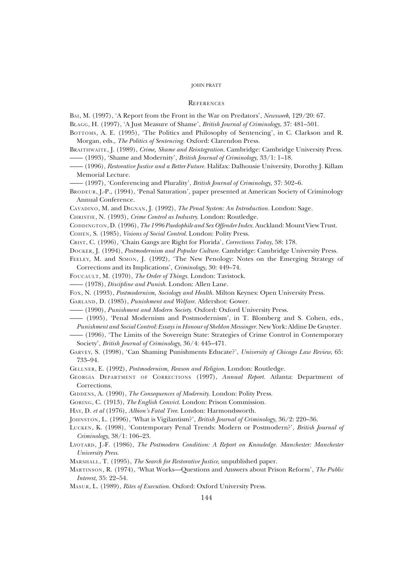## **REFERENCES**

BAI, M. (1997), 'A Report from the Front in the War on Predators', *Newsweek*, 129/20: 67.

BLAGG, H. (1997), 'A Just Measure of Shame', *British Journal of Criminology*, 37: 481–501.

- BOTTOMS, A. E. (1995), 'The Politics and Philosophy of Sentencing', in C. Clarkson and R. Morgan, eds., *The Politics of Sentencing.* Oxford: Clarendon Press.
- BRAITHWAITE, J. (1989), *Crime, Shame and Reintegration.* Cambridge: Cambridge University Press. –––– (1993), 'Shame and Modernity', *British Journal of Criminology*, 33/1: 1–18.
- –––– (1996), *Restorative Justice and a Better Future.* Halifax: Dalhousie University, Dorothy J. Killam Memorial Lecture.
- –––– (1997), 'Conferencing and Plurality', *British Journal of Criminology*, 37: 502–6.
- BRODEUR, J.-P., (1994), 'Penal Saturation', paper presented at American Society of Criminology Annual Conference.
- CAVADINO, M. and DIGNAN, J. (1992), *The Penal System: An Introduction.* London: Sage.
- CHRISTIE, N. (1993), *Crime Control as Industry*. London: Routledge.
- CODDINGTON, D. (1996),*The 1996 Paedophile and Sex Offender Index.*Auckland: Mount View Trust.
- COHEN, S. (1985), *Visions of Social Control*. London: Polity Press.
- CRIST, C. (1996), 'Chain Gangs are Right for Florida', *Corrections Today*, 58: 178.
- DOCKER, J. (1994), *Postmodernism and Popular Culture.* Cambridge: Cambridge University Press.
- FEELEY, M. and SIMON, J. (1992), 'The New Penology: Notes on the Emerging Strategy of Corrections and its Implications', *Criminology*, 30: 449–74.
- FOUCAULT, M. (1970), *The Order of Things.* London: Tavistock.
- –––– (1978), *Discipline and Punish.* London: Allen Lane.
- FOX, N. (1993), *Postmodernism, Sociology and Health.* Milton Keynes: Open University Press.
- GARLAND, D. (1985), *Punishment and Welfare.* Aldershot: Gower.
- –––– (1990), *Punishment and Modern Society.* Oxford: Oxford University Press.
- –––– (1995), 'Penal Modernism and Postmodernism', in T. Blomberg and S. Cohen, eds., *Punishment and Social Control: Essays in Honour of Sheldon Messinger.* New York: Aldine De Gruyter.
- –––– (1996), 'The Limits of the Sovereign State: Strategies of Crime Control in Contemporary Society', *British Journal of Criminology*, 36/4: 445–471.
- GARVEY, S. (1998), 'Can Shaming Punishments Educate?', *University of Chicago Law Review*, 65: 733–94.
- GELLNER, E. (1992), *Postmodernism, Reason and Religion*. London: Routledge.
- GEORGIA DEPARTMENT OF CORRECTIONS (1997), *Annual Report.* Atlanta: Department of Corrections.
- GIDDENS, A. (1990), *The Consequences of Modernity.* London: Polity Press.
- GORING, C. (1913), *The English Convict*. London: Prison Commission.
- HAY, D. *et al* (1976), *Albion's Fatal Tree*. London: Harmondsworth.
- JOHNSTON, L. (1996), 'What is Vigilantism?', *British Journal of Criminology*, 36/2: 220–36.
- LUCKEN, K. (1998), 'Contemporary Penal Trends: Modern or Postmodern?', *British Journal of Criminology*, 38/1: 106–23.
- LYOTARD, J.-F. (1986), *The Postmodern Condition: A Report on Knowledge. Manchester: Manchester University Press.*
- MARSHALL, T. (1995), *The Search for Restorative Justice*, unpublished paper.
- MARTINSON, R. (1974), 'What Works—Questions and Answers about Prison Reform', *The Public Interest,* 35: 22–54.
- MASUR, L. (1989), *Rites of Execution.* Oxford: Oxford University Press.